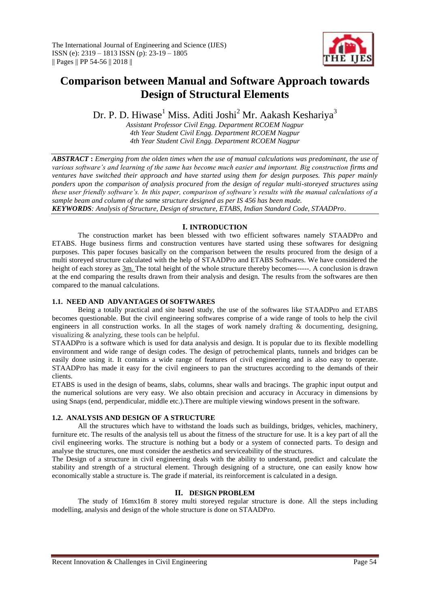

# **Comparison between Manual and Software Approach towards Design of Structural Elements**

Dr. P. D. Hiwase<sup>1</sup> Miss. Aditi Joshi<sup>2</sup> Mr. Aakash Keshariya<sup>3</sup>

*Assistant Professor Civil Engg. Department RCOEM Nagpur 4th Year Student Civil Engg. Department RCOEM Nagpur 4th Year Student Civil Engg. Department RCOEM Nagpur*

*ABSTRACT* **:** *Emerging from the olden times when the use of manual calculations was predominant, the use of various software's and learning of the same has become much easier and important. Big construction firms and ventures have switched their approach and have started using them for design purposes. This paper mainly ponders upon the comparison of analysis procured from the design of regular multi-storeyed structures using these user friendly software's. In this paper, comparison of software's results with the manual calculations of a sample beam and column of the same structure designed as per IS 456 has been made. KEYWORDS: Analysis of Structure, Design of structure, ETABS, Indian Standard Code, STAADPro*.

**I. INTRODUCTION**

The construction market has been blessed with two efficient softwares namely STAADPro and ETABS. Huge business firms and construction ventures have started using these softwares for designing purposes. This paper focuses basically on the comparison between the results procured from the design of a multi storeyed structure calculated with the help of STAADPro and ETABS Softwares. We have considered the height of each storey as  $3m$ . The total height of the whole structure thereby becomes-----. A conclusion is drawn at the end comparing the results drawn from their analysis and design. The results from the softwares are then compared to the manual calculations.

# **1.1. NEED AND ADVANTAGES Of SOFTWARES**

Being a totally practical and site based study, the use of the softwares like STAADPro and ETABS becomes questionable. But the civil engineering softwares comprise of a wide range of tools to help the civil engineers in all construction works. In all the stages of work namely drafting & documenting, designing, visualizing & analyzing, these tools can be helpful.

STAADPro is a software which is used for data analysis and design. It is popular due to its flexible modelling environment and wide range of design codes. The design of petrochemical plants, tunnels and bridges can be easily done using it. It contains a wide range of features of civil engineering and is also easy to operate. STAADPro has made it easy for the civil engineers to pan the structures according to the demands of their clients.

ETABS is used in the design of beams, slabs, columns, shear walls and bracings. The graphic input output and the numerical solutions are very easy. We also obtain precision and accuracy in Accuracy in dimensions by using Snaps (end, perpendicular, middle etc.).There are multiple viewing windows present in the software.

## **1.2. ANALYSIS AND DESIGN OF A STRUCTURE**

All the structures which have to withstand the loads such as buildings, bridges, vehicles, machinery, furniture etc. The results of the analysis tell us about the fitness of the structure for use. It is a key part of all the civil engineering works. The structure is nothing but a body or a system of connected parts. To design and analyse the structures, one must consider the aesthetics and serviceability of the structures.

The Design of a structure in civil engineering deals with the ability to understand, predict and calculate the stability and strength of a structural element. Through designing of a structure, one can easily know how economically stable a structure is. The grade if material, its reinforcement is calculated in a design.

## **II. DESIGN PROBLEM**

The study of 16mx16m 8 storey multi storeyed regular structure is done. All the steps including modelling, analysis and design of the whole structure is done on STAADPro.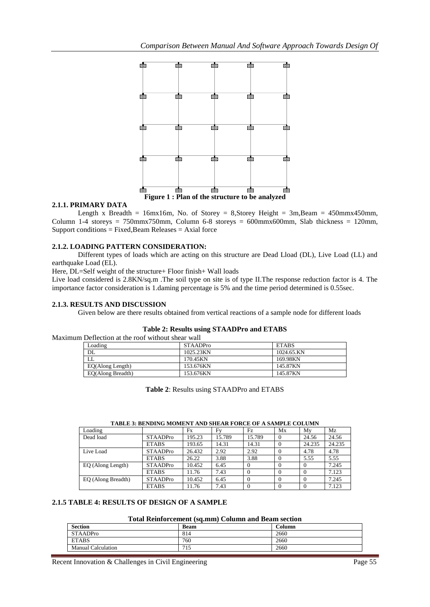

# **2.1.1. PRIMARY DATA**

Length x Breadth = 16mx16m, No. of Storey = 8,Storey Height =  $3m$ ,Beam =  $450mm \times 450mm$ , Column 1-4 storeys = 750mmx750mm, Column 6-8 storeys = 600mmx600mm, Slab thickness = 120mm,  $Support conditions = Fixed, Beam Release = Axial force$ 

## **2.1.2. LOADING PATTERN CONSIDERATION:**

Different types of loads which are acting on this structure are Dead Lload (DL), Live Load (LL) and earthquake Load (EL).

Here, DL=Self weight of the structure+ Floor finish+ Wall loads

Live load considered is 2.8KN/sq.m .The soil type on site is of type II.The response reduction factor is 4. The importance factor consideration is 1.daming percentage is 5% and the time period determined is 0.55sec.

## **2.1.3. RESULTS AND DISCUSSION**

Given below are there results obtained from vertical reactions of a sample node for different loads

| Maximum Deflection at the roof without shear wall |                 |              |  |  |
|---------------------------------------------------|-----------------|--------------|--|--|
| Loading                                           | <b>STAADPro</b> | <b>ETABS</b> |  |  |
| DL                                                | 1025.23KN       | 1024.65.KN   |  |  |
| LL.                                               | 170.45KN        | 169.98KN     |  |  |
| EQ(Along Length)                                  | 153.676KN       | 145.87KN     |  |  |
| EQ(Along Breadth)                                 | 153.676KN       | 145.87KN     |  |  |

## **Table 2: Results using STAADPro and ETABS**

**Table 2**: Results using STAADPro and ETABS

| <b>TABLE 3: BENDING MOMENT AND SHEAR FORCE OF A SAMPLE COLUMN</b> |  |  |
|-------------------------------------------------------------------|--|--|
|                                                                   |  |  |

| Loading            |                 | Fx     | Fv     | Fz       | Mx | Mv     | Mz     |
|--------------------|-----------------|--------|--------|----------|----|--------|--------|
| Dead load          | <b>STAADPro</b> | 195.23 | 15.789 | 15.789   |    | 24.56  | 24.56  |
|                    | <b>ETABS</b>    | 193.65 | 14.31  | 14.31    |    | 24.235 | 24.235 |
| Live Load          | <b>STAADPro</b> | 26.432 | 2.92   | 2.92     |    | 4.78   | 4.78   |
|                    | <b>ETABS</b>    | 26.22  | 3.88   | 3.88     |    | 5.55   | 5.55   |
| EQ (Along Length)  | <b>STAADPro</b> | 10.452 | 6.45   |          |    |        | 7.245  |
|                    | <b>ETABS</b>    | 11.76  | 7.43   | $\Omega$ |    |        | 7.123  |
| EQ (Along Breadth) | <b>STAADPro</b> | 10.452 | 6.45   | $\Omega$ |    |        | 7.245  |
|                    | <b>ETABS</b>    | 11.76  | 7.43   | $\Omega$ |    |        | 7.123  |

# **2.1.5 TABLE 4: RESULTS OF DESIGN OF A SAMPLE**

#### **Total Reinforcement (sq.mm) Column and Beam section**

| <b>Section</b>     | <b>Beam</b> | Column |
|--------------------|-------------|--------|
| STAADPro           | 814         | 2660   |
| <b>ETABS</b>       | 760         | 2660   |
| Manual Calculation | 715         | 2660   |

Recent Innovation & Challenges in Civil Engineering Page 55